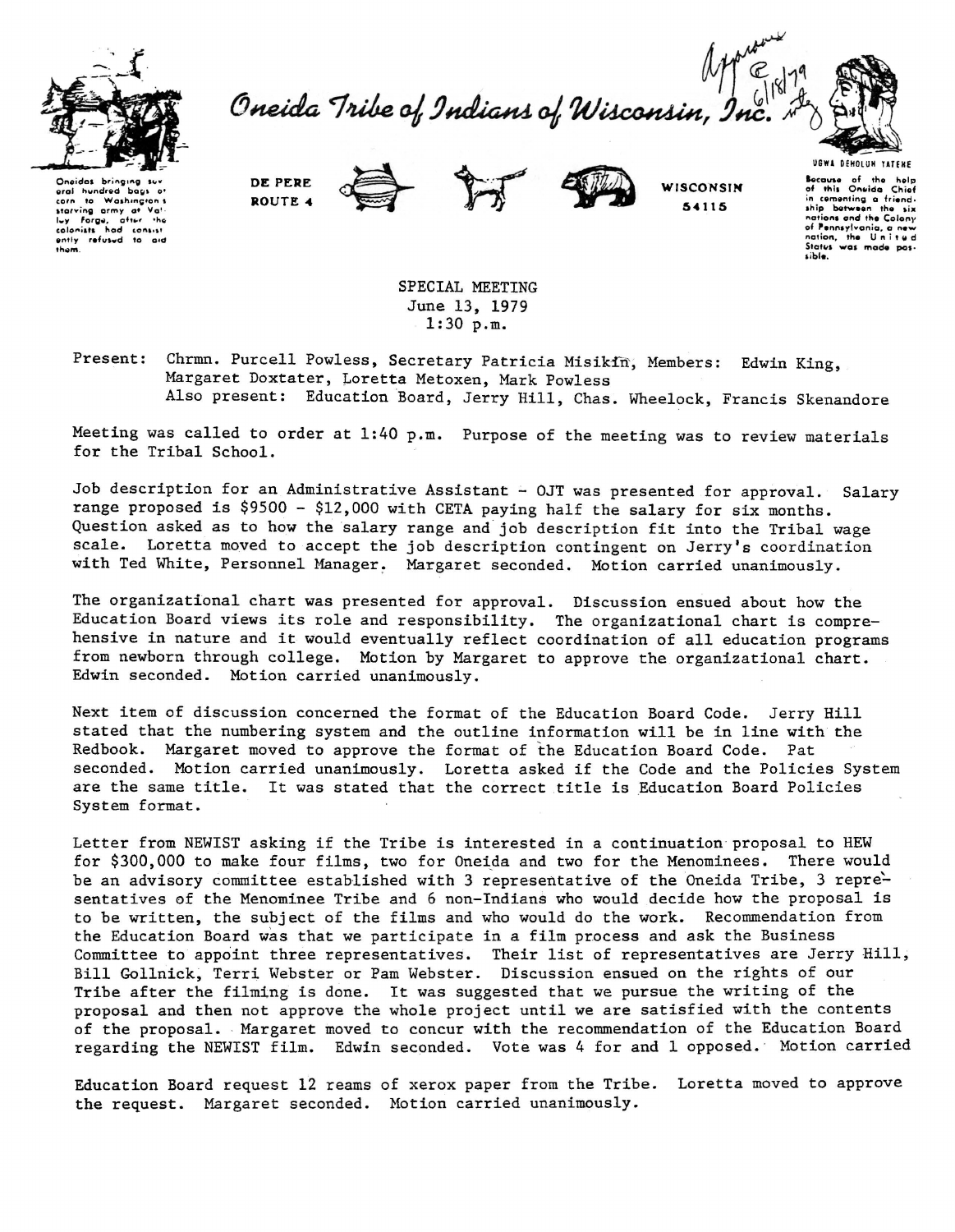

Oneida Tribe of Indians of Wisconsin, In



Oneidas bring hundred bags oral to Washington  $\epsilon$ orn corn to washington's<br>lay forga, after the<br>colonists had consist<br>ently refused to aid thom

DE PERE ROUTE 4





WISCONSIN 54115

UGWA DEHOLUN YATENE Bocause of the holp<br>of this Oneida Chief Chief in comenting a friend. ship between the six nations and the Colony of Pennsylvania, a nev nation, the United<br>States was made possible.

SPECIAL MEETING June 13, 1979  $1:30 p.m.$ 

Present: Chrmn. Purcell Powless, Secretary Patricia Misikin, Members: Edwin King, Margaret Doxtater, Loretta Metoxen, Mark Powless Also present: Education Board, Jerry Hill, Chas. Wheelock, Francis Skenandore

Meeting was called to order at 1:40 p.m. Purpose of the meeting was to review materials for the Tribal School.

Job description for an Administrative Assistant - OJT was presented for approval. Salary range proposed is \$9500 - \$12,000 with CETA paying half the salary for six months. Question asked as to how the salary range and job description fit into the Tribal wage scale. Loretta moved to accept the job description contingent on Jerry's coordination with Ted White, Personnel Manager. Margaret seconded. Motion carried unanimously.

The organizational chart was presented for approval. Discussion ensued about how the Education Board views its role and responsibility. The organizational chart is comprehensive in nature and it would eventually reflect coordination of all education programs from newborn through college. Motion by Margaret to approve the organizational chart. Edwin seconded. Motion carried unanimously.

Next item of discussion concerned the format of the Education Board Code. Jerry Hill stated that the numbering system and the outline information will be in line with the Redbook. Margaret moved to approve the format of the Education Board Code. Pat seconded. Motion carried unanimously. Loretta asked if the Code and the Policies System are the same title. It was stated that the correct title is Education Board Policies System format.

Letter from NEWIST asking if the Tribe is interested in a continuation proposal to HEW for \$300,000 to make four films, two for Oneida and two for the Menominees. There would be an advisory committee established with 3 representative of the Oneida Tribe, 3 representatives of the Menominee Tribe and 6 non-Indians who would decide how the proposal is to be written, the subject of the films and who would do the work. Recommendation from the Education Board was that we participate in a film process and ask the Business Committee to appoint three representatives. Their list of representatives are Jerry Hill, Bill Gollnick, Terri Webster or Pam Webster. Discussion ensued on the rights of our Tribe after the filming is done. It was suggested that we pursue the writing of the proposal and then not approve the whole project until we are satisfied with the contents of the proposal. Margaret moved to concur with the recommendation of the Education Board regarding the NEWIST film. Edwin seconded. Vote was 4 for and 1 opposed. Motion carried

Education Board request 12 reams of xerox paper from the Tribe. Loretta moved to approve the request. Margaret seconded. Motion carried unanimously.